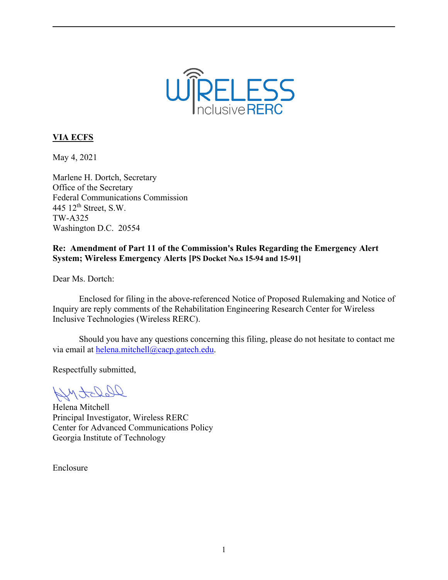

# **VIA ECFS**

May 4, 2021

Marlene H. Dortch, Secretary Office of the Secretary Federal Communications Commission 445 12th Street, S.W. TW-A325 Washington D.C. 20554

## **Re: Amendment of Part 11 of the Commission's Rules Regarding the Emergency Alert System; Wireless Emergency Alerts [PS Docket No.s 15-94 and 15-91]**

Dear Ms. Dortch:

Enclosed for filing in the above-referenced Notice of Proposed Rulemaking and Notice of Inquiry are reply comments of the Rehabilitation Engineering Research Center for Wireless Inclusive Technologies (Wireless RERC).

Should you have any questions concerning this filing, please do not hesitate to contact me via email at [helena.mitchell@cacp.gatech.edu.](mailto:helena.mitchell@cacp.gatech.edu)

Respectfully submitted,

Derotophy

Helena Mitchell Principal Investigator, Wireless RERC Center for Advanced Communications Policy Georgia Institute of Technology

Enclosure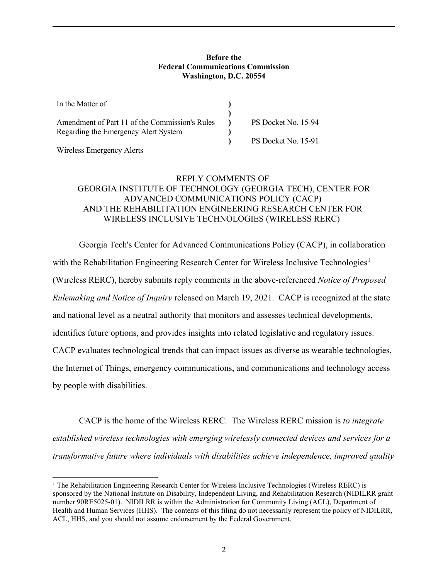#### **Before the Federal Communications Commission Washington, D.C. 20554**

| In the Matter of                               |                     |
|------------------------------------------------|---------------------|
|                                                |                     |
| Amendment of Part 11 of the Commission's Rules | PS Docket No. 15-94 |
| Regarding the Emergency Alert System           |                     |
|                                                | PS Docket No. 15-91 |

Wireless Emergency Alerts

### REPLY COMMENTS OF GEORGIA INSTITUTE OF TECHNOLOGY (GEORGIA TECH), CENTER FOR ADVANCED COMMUNICATIONS POLICY (CACP) AND THE REHABILITATION ENGINEERING RESEARCH CENTER FOR WIRELESS INCLUSIVE TECHNOLOGIES (WIRELESS RERC)

Georgia Tech's Center for Advanced Communications Policy (CACP), in collaboration with the Rehabilitation Engineering Research Center for Wireless Inclusive Technologies<sup>[1](#page-1-0)</sup> (Wireless RERC), hereby submits reply comments in the above-referenced *Notice of Proposed Rulemaking and Notice of Inquiry* released on March 19, 2021. CACP is recognized at the state and national level as a neutral authority that monitors and assesses technical developments, identifies future options, and provides insights into related legislative and regulatory issues. CACP evaluates technological trends that can impact issues as diverse as wearable technologies, the Internet of Things, emergency communications, and communications and technology access by people with disabilities.

CACP is the home of the Wireless RERC. The Wireless RERC mission is *to integrate established wireless technologies with emerging wirelessly connected devices and services for a transformative future where individuals with disabilities achieve independence, improved quality* 

<span id="page-1-0"></span><sup>&</sup>lt;sup>1</sup> The Rehabilitation Engineering Research Center for Wireless Inclusive Technologies (Wireless RERC) is sponsored by the National Institute on Disability, Independent Living, and Rehabilitation Research (NIDILRR grant number 90RE5025-01). NIDILRR is within the Administration for Community Living (ACL), Department of Health and Human Services (HHS). The contents of this filing do not necessarily represent the policy of NIDILRR, ACL, HHS, and you should not assume endorsement by the Federal Government.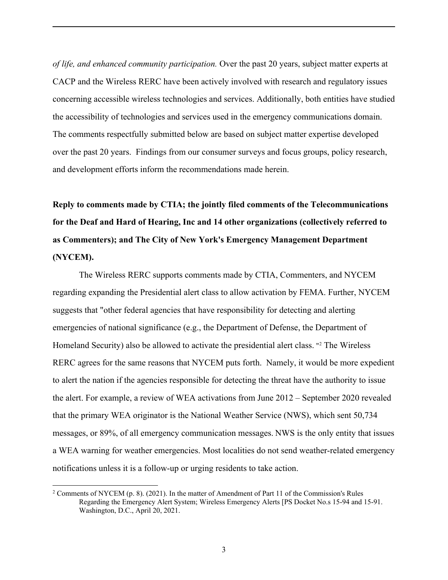*of life, and enhanced community participation.* Over the past 20 years, subject matter experts at CACP and the Wireless RERC have been actively involved with research and regulatory issues concerning accessible wireless technologies and services. Additionally, both entities have studied the accessibility of technologies and services used in the emergency communications domain. The comments respectfully submitted below are based on subject matter expertise developed over the past 20 years. Findings from our consumer surveys and focus groups, policy research, and development efforts inform the recommendations made herein.

**Reply to comments made by CTIA; the jointly filed comments of the Telecommunications for the Deaf and Hard of Hearing, Inc and 14 other organizations (collectively referred to as Commenters); and The City of New York's Emergency Management Department (NYCEM).**

The Wireless RERC supports comments made by CTIA, Commenters, and NYCEM regarding expanding the Presidential alert class to allow activation by FEMA. Further, NYCEM suggests that "other federal agencies that have responsibility for detecting and alerting emergencies of national significance (e.g., the Department of Defense, the Department of Homeland Security) also be allowed to activate the presidential alert class. "<sup>[2](#page-2-0)</sup> The Wireless RERC agrees for the same reasons that NYCEM puts forth. Namely, it would be more expedient to alert the nation if the agencies responsible for detecting the threat have the authority to issue the alert. For example, a review of WEA activations from June 2012 – September 2020 revealed that the primary WEA originator is the National Weather Service (NWS), which sent 50,734 messages, or 89%, of all emergency communication messages. NWS is the only entity that issues a WEA warning for weather emergencies. Most localities do not send weather-related emergency notifications unless it is a follow-up or urging residents to take action.

<span id="page-2-0"></span><sup>&</sup>lt;sup>2</sup> Comments of NYCEM (p. 8). (2021). In the matter of Amendment of Part 11 of the Commission's Rules Regarding the Emergency Alert System; Wireless Emergency Alerts [PS Docket No.s 15-94 and 15-91. Washington, D.C., April 20, 2021.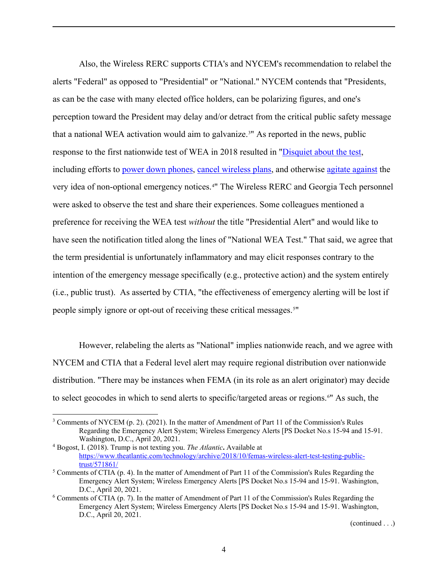Also, the Wireless RERC supports CTIA's and NYCEM's recommendation to relabel the alerts "Federal" as opposed to "Presidential" or "National." NYCEM contends that "Presidents, as can be the case with many elected office holders, can be polarizing figures, and one's perception toward the President may delay and/or detract from the critical public safety message that a national WEA activation would aim to galvanize.<sup>[3](#page-3-0)"</sup> As reported in the news, public response to the first nationwide test of WEA in 2018 resulted in ["Disquiet about the test,](https://www.elitedaily.com/p/these-tweets-about-femas-presidential-alert-all-say-the-same-thing-about-trump-11930275) including efforts to [power down phones,](https://twitter.com/hashtag/phonesoff) [cancel wireless plans,](https://www.nbcnews.com/tech/mobile/fema-s-presidential-alert-test-postponed-some-americans-want-disconnect-n910406) and otherwise [agitate against](https://www.elle.com/culture/career-politics/a23278897/trump-fema-text-thursday/) the very idea of non-optional emergency notices. [4](#page-3-1) " The Wireless RERC and Georgia Tech personnel were asked to observe the test and share their experiences. Some colleagues mentioned a preference for receiving the WEA test *without* the title "Presidential Alert" and would like to have seen the notification titled along the lines of "National WEA Test." That said, we agree that the term presidential is unfortunately inflammatory and may elicit responses contrary to the intention of the emergency message specifically (e.g., protective action) and the system entirely (i.e., public trust). As asserted by CTIA, "the effectiveness of emergency alerting will be lost if people simply ignore or opt-out of receiving these critical messages.<sup>[5](#page-3-2)"</sup>

However, relabeling the alerts as "National" implies nationwide reach, and we agree with NYCEM and CTIA that a Federal level alert may require regional distribution over nationwide distribution. "There may be instances when FEMA (in its role as an alert originator) may decide to select geocodes in which to send alerts to specific/targeted areas or regions.<sup>[6](#page-3-3)"</sup> As such, the

<span id="page-3-0"></span><sup>&</sup>lt;sup>3</sup> Comments of NYCEM (p. 2). (2021). In the matter of Amendment of Part 11 of the Commission's Rules Regarding the Emergency Alert System; Wireless Emergency Alerts [PS Docket No.s 15-94 and 15-91. Washington, D.C., April 20, 2021.

<span id="page-3-1"></span><sup>4</sup> Bogost, I. (2018). Trump is not texting you. *The Atlantic***.** Available at [https://www.theatlantic.com/technology/archive/2018/10/femas-wireless-alert-test-testing-public](https://www.theatlantic.com/technology/archive/2018/10/femas-wireless-alert-test-testing-public-trust/571861/)[trust/571861/](https://www.theatlantic.com/technology/archive/2018/10/femas-wireless-alert-test-testing-public-trust/571861/)

<span id="page-3-2"></span><sup>&</sup>lt;sup>5</sup> Comments of CTIA (p. 4). In the matter of Amendment of Part 11 of the Commission's Rules Regarding the Emergency Alert System; Wireless Emergency Alerts [PS Docket No.s 15-94 and 15-91. Washington, D.C., April 20, 2021.

<span id="page-3-3"></span><sup>6</sup> Comments of CTIA (p. 7). In the matter of Amendment of Part 11 of the Commission's Rules Regarding the Emergency Alert System; Wireless Emergency Alerts [PS Docket No.s 15-94 and 15-91. Washington, D.C., April 20, 2021.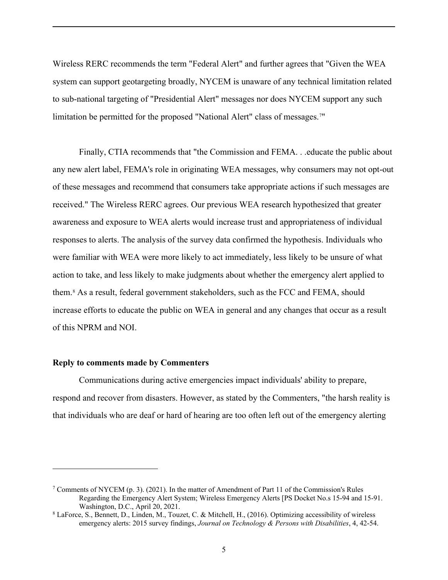Wireless RERC recommends the term "Federal Alert" and further agrees that "Given the WEA system can support geotargeting broadly, NYCEM is unaware of any technical limitation related to sub-national targeting of "Presidential Alert" messages nor does NYCEM support any such limitation be permitted for the proposed "National Alert" class of messages.<sup>[7](#page-4-0)"</sup>

Finally, CTIA recommends that "the Commission and FEMA. . .educate the public about any new alert label, FEMA's role in originating WEA messages, why consumers may not opt-out of these messages and recommend that consumers take appropriate actions if such messages are received." The Wireless RERC agrees. Our previous WEA research hypothesized that greater awareness and exposure to WEA alerts would increase trust and appropriateness of individual responses to alerts. The analysis of the survey data confirmed the hypothesis. Individuals who were familiar with WEA were more likely to act immediately, less likely to be unsure of what action to take, and less likely to make judgments about whether the emergency alert applied to them. [8](#page-4-1) As a result, federal government stakeholders, such as the FCC and FEMA, should increase efforts to educate the public on WEA in general and any changes that occur as a result of this NPRM and NOI.

#### **Reply to comments made by Commenters**

Communications during active emergencies impact individuals' ability to prepare, respond and recover from disasters. However, as stated by the Commenters, "the harsh reality is that individuals who are deaf or hard of hearing are too often left out of the emergency alerting

<span id="page-4-0"></span><sup>&</sup>lt;sup>7</sup> Comments of NYCEM (p. 3). (2021). In the matter of Amendment of Part 11 of the Commission's Rules Regarding the Emergency Alert System; Wireless Emergency Alerts [PS Docket No.s 15-94 and 15-91. Washington, D.C., April 20, 2021.

<span id="page-4-1"></span><sup>8</sup> LaForce, S., Bennett, D., Linden, M., Touzet, C. & Mitchell, H., (2016). Optimizing accessibility of wireless emergency alerts: 2015 survey findings, *Journal on Technology & Persons with Disabilities*, 4, 42-54.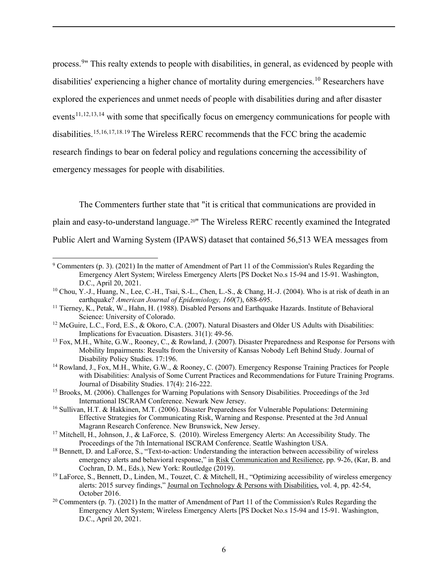process.<sup>[9](#page-5-0)</sup>" This realty extends to people with disabilities, in general, as evidenced by people with disabilities' experiencing a higher chance of mortality during emergencies.<sup>[10](#page-5-1)</sup> Researchers have explored the experiences and unmet needs of people with disabilities during and after disaster events<sup>[11](#page-5-2),[12,](#page-5-3)[13](#page-5-4),[14](#page-5-5)</sup> with some that specifically focus on emergency communications for people with disabilities.<sup>[15,](#page-5-6)[16](#page-5-7),[17,](#page-5-8)[18](#page-5-9).[19](#page-5-10)</sup> The Wireless RERC recommends that the FCC bring the academic research findings to bear on federal policy and regulations concerning the accessibility of emergency messages for people with disabilities.

The Commenters further state that "it is critical that communications are provided in plain and easy-to-understand language.[20"](#page-5-11) The Wireless RERC recently examined the Integrated Public Alert and Warning System (IPAWS) dataset that contained 56,513 WEA messages from

- <span id="page-5-5"></span><sup>14</sup> Rowland, J., Fox, M.H., White, G.W., & Rooney, C. (2007). Emergency Response Training Practices for People with Disabilities: Analysis of Some Current Practices and Recommendations for Future Training Programs. Journal of Disability Studies. 17(4): 216-222.
- <span id="page-5-6"></span><sup>15</sup> Brooks, M. (2006). Challenges for Warning Populations with Sensory Disabilities. Proceedings of the 3rd International ISCRAM Conference. Newark New Jersey.
- <span id="page-5-7"></span><sup>16</sup> Sullivan, H.T. & Hakkinen, M.T. (2006). Disaster Preparedness for Vulnerable Populations: Determining Effective Strategies for Communicating Risk, Warning and Response. Presented at the 3rd Annual Magrann Research Conference. New Brunswick, New Jersey.
- <span id="page-5-8"></span><sup>17</sup> Mitchell, H., Johnson, J., & LaForce, S. (2010). Wireless Emergency Alerts: An Accessibility Study. The Proceedings of the 7th International ISCRAM Conference. Seattle Washington USA.
- <span id="page-5-9"></span><sup>18</sup> Bennett, D. and LaForce, S., "Text-to-action: Understanding the interaction between accessibility of wireless emergency alerts and behavioral response," in Risk Communication and Resilience, pp. 9-26, (Kar, B. and Cochran, D. M., Eds.), New York: Routledge (2019). 19 LaForce, S., Bennett, D., Linden, M., Touzet, C. & Mitchell, H., "Optimizing accessibility of wireless emergency
- <span id="page-5-10"></span>alerts: 2015 survey findings," Journal on Technology & Persons with Disabilities, vol. 4, pp. 42-54, October 2016.
- <span id="page-5-11"></span><sup>20</sup> Commenters (p. 7). (2021) In the matter of Amendment of Part 11 of the Commission's Rules Regarding the Emergency Alert System; Wireless Emergency Alerts [PS Docket No.s 15-94 and 15-91. Washington, D.C., April 20, 2021.

<span id="page-5-0"></span><sup>9</sup> Commenters (p. 3). (2021) In the matter of Amendment of Part 11 of the Commission's Rules Regarding the Emergency Alert System; Wireless Emergency Alerts [PS Docket No.s 15-94 and 15-91. Washington, D.C., April 20, 2021.

<span id="page-5-1"></span><sup>&</sup>lt;sup>10</sup> Chou, Y.-J., Huang, N., Lee, C.-H., Tsai, S.-L., Chen, L.-S., & Chang, H.-J. (2004). Who is at risk of death in an earthquake? *American Journal of Epidemiology*,  $160(7)$ ,  $688-695$ .

<span id="page-5-2"></span><sup>&</sup>lt;sup>11</sup> Tierney, K., Petak, W., Hahn, H. (1988). Disabled Persons and Earthquake Hazards. Institute of Behavioral Science: University of Colorado.

<span id="page-5-3"></span><sup>&</sup>lt;sup>12</sup> McGuire, L.C., Ford, E.S., & Okoro, C.A. (2007). Natural Disasters and Older US Adults with Disabilities: Implications for Evacuation. Disasters. 31(1): 49-56.

<span id="page-5-4"></span><sup>&</sup>lt;sup>13</sup> Fox, M.H., White, G.W., Rooney, C., & Rowland, J. (2007). Disaster Preparedness and Response for Persons with Mobility Impairments: Results from the University of Kansas Nobody Left Behind Study. Journal of Disability Policy Studies. 17:196.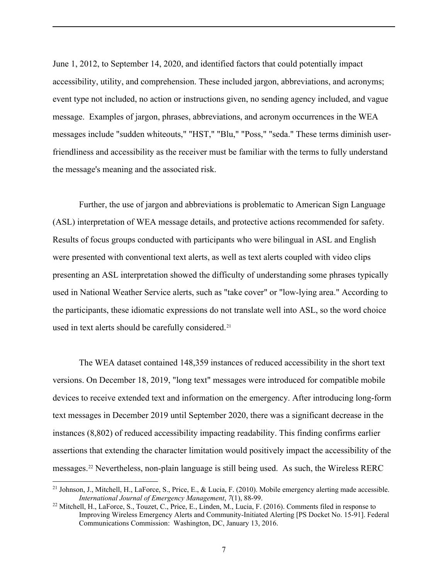June 1, 2012, to September 14, 2020, and identified factors that could potentially impact accessibility, utility, and comprehension. These included jargon, abbreviations, and acronyms; event type not included, no action or instructions given, no sending agency included, and vague message. Examples of jargon, phrases, abbreviations, and acronym occurrences in the WEA messages include "sudden whiteouts," "HST," "Blu," "Poss," "seda." These terms diminish userfriendliness and accessibility as the receiver must be familiar with the terms to fully understand the message's meaning and the associated risk.

Further, the use of jargon and abbreviations is problematic to American Sign Language (ASL) interpretation of WEA message details, and protective actions recommended for safety. Results of focus groups conducted with participants who were bilingual in ASL and English were presented with conventional text alerts, as well as text alerts coupled with video clips presenting an ASL interpretation showed the difficulty of understanding some phrases typically used in National Weather Service alerts, such as "take cover" or "low-lying area." According to the participants, these idiomatic expressions do not translate well into ASL, so the word choice used in text alerts should be carefully considered.<sup>[21](#page-6-0)</sup>

The WEA dataset contained 148,359 instances of reduced accessibility in the short text versions. On December 18, 2019, "long text" messages were introduced for compatible mobile devices to receive extended text and information on the emergency. After introducing long-form text messages in December 2019 until September 2020, there was a significant decrease in the instances (8,802) of reduced accessibility impacting readability. This finding confirms earlier assertions that extending the character limitation would positively impact the accessibility of the messages. [22](#page-6-1) Nevertheless, non-plain language is still being used. As such, the Wireless RERC

<span id="page-6-0"></span><sup>&</sup>lt;sup>21</sup> Johnson, J., Mitchell, H., LaForce, S., Price, E., & Lucia, F. (2010). Mobile emergency alerting made accessible. *International Journal of Emergency Management*, *7*(1), 88-99.

<span id="page-6-1"></span><sup>22</sup> Mitchell, H., LaForce, S., Touzet, C., Price, E., Linden, M., Lucia, F. (2016). Comments filed in response to Improving Wireless Emergency Alerts and Community-Initiated Alerting [PS Docket No. 15-91]. Federal Communications Commission: Washington, DC, January 13, 2016.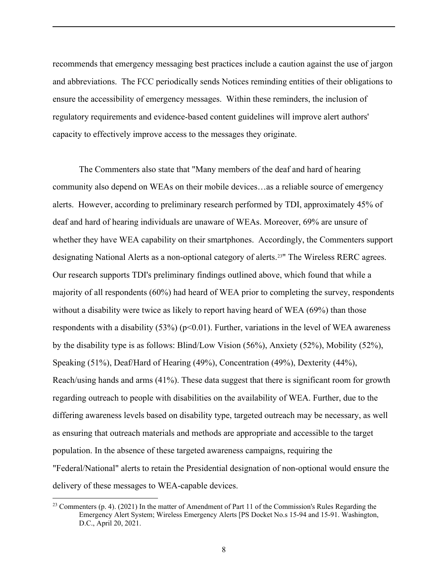recommends that emergency messaging best practices include a caution against the use of jargon and abbreviations. The FCC periodically sends Notices reminding entities of their obligations to ensure the accessibility of emergency messages. Within these reminders, the inclusion of regulatory requirements and evidence-based content guidelines will improve alert authors' capacity to effectively improve access to the messages they originate.

The Commenters also state that "Many members of the deaf and hard of hearing community also depend on WEAs on their mobile devices…as a reliable source of emergency alerts. However, according to preliminary research performed by TDI, approximately 45% of deaf and hard of hearing individuals are unaware of WEAs. Moreover, 69% are unsure of whether they have WEA capability on their smartphones. Accordingly, the Commenters support designating National Alerts as a non-optional category of alerts.<sup>[23"](#page-7-0)</sup> The Wireless RERC agrees. Our research supports TDI's preliminary findings outlined above, which found that while a majority of all respondents (60%) had heard of WEA prior to completing the survey, respondents without a disability were twice as likely to report having heard of WEA (69%) than those respondents with a disability  $(53%)$  ( $p<0.01$ ). Further, variations in the level of WEA awareness by the disability type is as follows: Blind/Low Vision (56%), Anxiety (52%), Mobility (52%), Speaking (51%), Deaf/Hard of Hearing (49%), Concentration (49%), Dexterity (44%), Reach/using hands and arms (41%). These data suggest that there is significant room for growth regarding outreach to people with disabilities on the availability of WEA. Further, due to the differing awareness levels based on disability type, targeted outreach may be necessary, as well as ensuring that outreach materials and methods are appropriate and accessible to the target population. In the absence of these targeted awareness campaigns, requiring the "Federal/National" alerts to retain the Presidential designation of non-optional would ensure the delivery of these messages to WEA-capable devices.

<span id="page-7-0"></span><sup>&</sup>lt;sup>23</sup> Commenters (p. 4). (2021) In the matter of Amendment of Part 11 of the Commission's Rules Regarding the Emergency Alert System; Wireless Emergency Alerts [PS Docket No.s 15-94 and 15-91. Washington, D.C., April 20, 2021.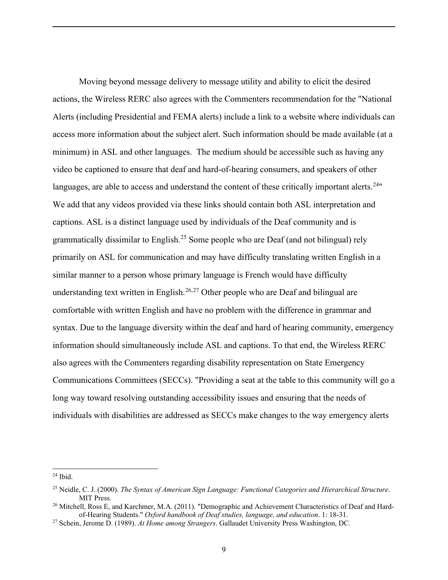Moving beyond message delivery to message utility and ability to elicit the desired actions, the Wireless RERC also agrees with the Commenters recommendation for the "National Alerts (including Presidential and FEMA alerts) include a link to a website where individuals can access more information about the subject alert. Such information should be made available (at a minimum) in ASL and other languages. The medium should be accessible such as having any video be captioned to ensure that deaf and hard-of-hearing consumers, and speakers of other languages, are able to access and understand the content of these critically important alerts.<sup>[24](#page-8-0) $"$ </sup> We add that any videos provided via these links should contain both ASL interpretation and captions. ASL is a distinct language used by individuals of the Deaf community and is grammatically dissimilar to English.<sup>[25](#page-8-1)</sup> Some people who are Deaf (and not bilingual) rely primarily on ASL for communication and may have difficulty translating written English in a similar manner to a person whose primary language is French would have difficulty understanding text written in English.<sup>[26,](#page-8-2)[27](#page-8-3)</sup> Other people who are Deaf and bilingual are comfortable with written English and have no problem with the difference in grammar and syntax. Due to the language diversity within the deaf and hard of hearing community, emergency information should simultaneously include ASL and captions. To that end, the Wireless RERC also agrees with the Commenters regarding disability representation on State Emergency Communications Committees (SECCs). "Providing a seat at the table to this community will go a long way toward resolving outstanding accessibility issues and ensuring that the needs of individuals with disabilities are addressed as SECCs make changes to the way emergency alerts

<span id="page-8-0"></span> $24$  Ibid.

<span id="page-8-1"></span><sup>25</sup> Neidle, C. J. (2000). *The Syntax of American Sign Language: Functional Categories and Hierarchical Structure*. MIT Press.

<span id="page-8-2"></span><sup>&</sup>lt;sup>26</sup> Mitchell, Ross E, and Karchmer, M.A. (2011). "Demographic and Achievement Characteristics of Deaf and Hardof-Hearing Students." *Oxford handbook of Deaf studies, language, and education*. 1: 18-31.

<span id="page-8-3"></span><sup>27</sup> Schein, Jerome D. (1989). *At Home among Strangers*. Gallaudet University Press Washington, DC.